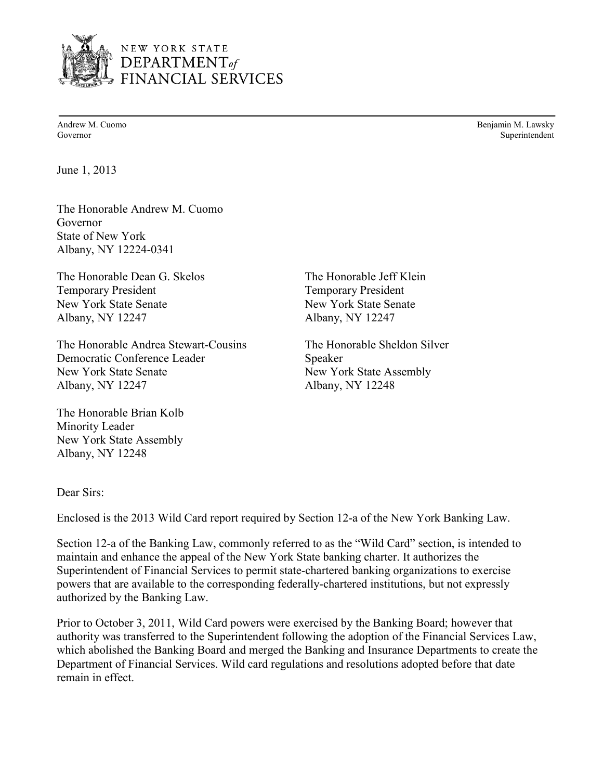

NEW YORK STATE  $\small \textbf{DEPENDENT}_{\textit{of}}$ **FINANCIAL SERVICES** 

Andrew M. Cuomo Benjamin M. Lawsky Governor Superintendent

June 1, 2013

 The Honorable Andrew M. Cuomo Governor State of New York Albany, NY 12224-0341

The Honorable Dean G. Skelos The Honorable Jeff Klein **Temporary President** Albany, NY 12247 New York State Senate New York State Senate

 The Honorable Andrea Stewart-Cousins The Honorable Sheldon Silver Democratic Conference Leader Speaker New York State Senate Albany, NY 12247

 New York State Assembly Albany, NY 12248 Albany, NY 12248 The Honorable Brian Kolb Minority Leader

**Temporary President** Albany, NY 12247

New York State Assembly Albany, NY 12248

Dear Sirs:

Enclosed is the 2013 Wild Card report required by Section 12-a of the New York Banking Law.

 Section 12-a of the Banking Law, commonly referred to as the "Wild Card" section, is intended to maintain and enhance the appeal of the New York State banking charter. It authorizes the authorized by the Banking Law. Superintendent of Financial Services to permit state-chartered banking organizations to exercise powers that are available to the corresponding federally-chartered institutions, but not expressly

 which abolished the Banking Board and merged the Banking and Insurance Departments to create the Department of Financial Services. Wild card regulations and resolutions adopted before that date Prior to October 3, 2011, Wild Card powers were exercised by the Banking Board; however that authority was transferred to the Superintendent following the adoption of the Financial Services Law, remain in effect.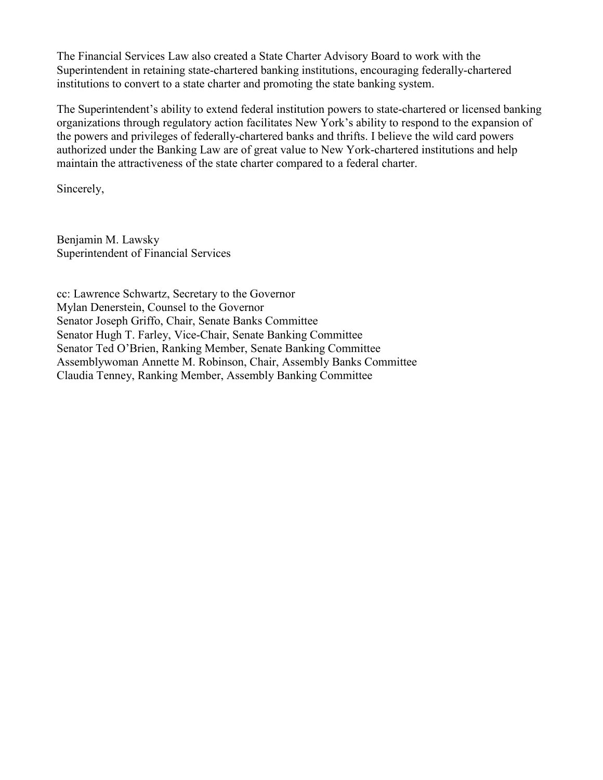The Financial Services Law also created a State Charter Advisory Board to work with the Superintendent in retaining state-chartered banking institutions, encouraging federally-chartered institutions to convert to a state charter and promoting the state banking system.

 authorized under the Banking Law are of great value to New York-chartered institutions and help The Superintendent's ability to extend federal institution powers to state-chartered or licensed banking organizations through regulatory action facilitates New York's ability to respond to the expansion of the powers and privileges of federally-chartered banks and thrifts. I believe the wild card powers maintain the attractiveness of the state charter compared to a federal charter.

Sincerely,

 Benjamin M. Lawsky Superintendent of Financial Services

Mylan Denerstein, Counsel to the Governor cc: Lawrence Schwartz, Secretary to the Governor Senator Joseph Griffo, Chair, Senate Banks Committee Senator Hugh T. Farley, Vice-Chair, Senate Banking Committee Senator Ted O'Brien, Ranking Member, Senate Banking Committee Assemblywoman Annette M. Robinson, Chair, Assembly Banks Committee Claudia Tenney, Ranking Member, Assembly Banking Committee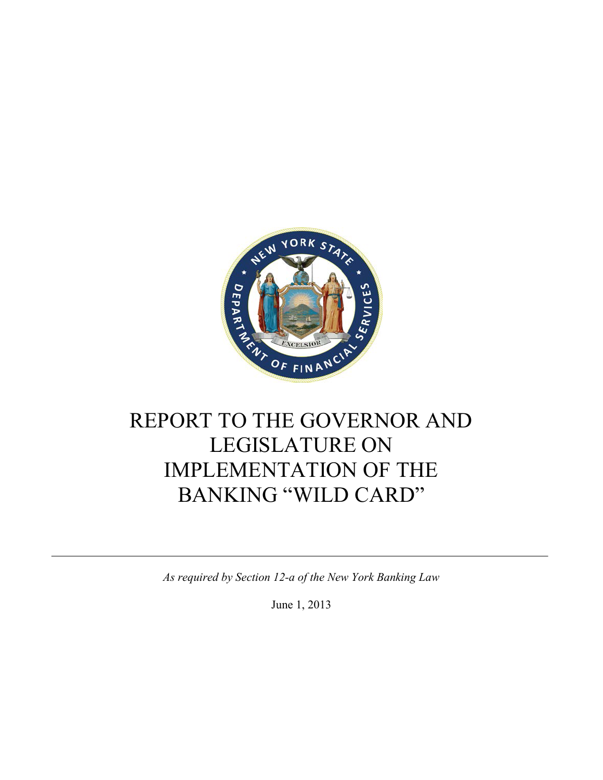

# REPORT TO THE GOVERNOR AND LEGISLATURE ON IMPLEMENTATION OF THE BANKING "WILD CARD"

*As required by Section 12-a of the New York Banking Law* 

June 1, 2013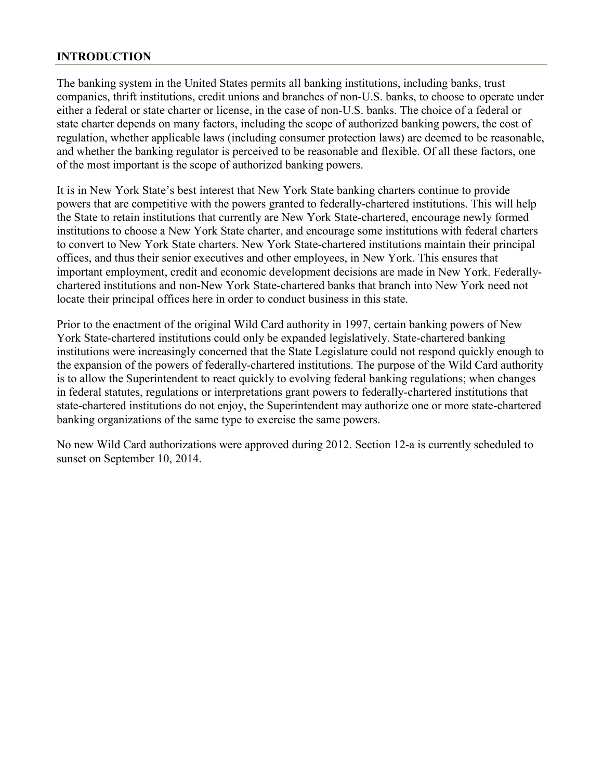#### **INTRODUCTION**

 either a federal or state charter or license, in the case of non-U.S. banks. The choice of a federal or regulation, whether applicable laws (including consumer protection laws) are deemed to be reasonable, The banking system in the United States permits all banking institutions, including banks, trust companies, thrift institutions, credit unions and branches of non-U.S. banks, to choose to operate under state charter depends on many factors, including the scope of authorized banking powers, the cost of and whether the banking regulator is perceived to be reasonable and flexible. Of all these factors, one of the most important is the scope of authorized banking powers.

 institutions to choose a New York State charter, and encourage some institutions with federal charters It is in New York State's best interest that New York State banking charters continue to provide powers that are competitive with the powers granted to federally-chartered institutions. This will help the State to retain institutions that currently are New York State-chartered, encourage newly formed to convert to New York State charters. New York State-chartered institutions maintain their principal offices, and thus their senior executives and other employees, in New York. This ensures that important employment, credit and economic development decisions are made in New York. Federallychartered institutions and non-New York State-chartered banks that branch into New York need not locate their principal offices here in order to conduct business in this state.

 Prior to the enactment of the original Wild Card authority in 1997, certain banking powers of New institutions were increasingly concerned that the State Legislature could not respond quickly enough to York State-chartered institutions could only be expanded legislatively. State-chartered banking the expansion of the powers of federally-chartered institutions. The purpose of the Wild Card authority is to allow the Superintendent to react quickly to evolving federal banking regulations; when changes in federal statutes, regulations or interpretations grant powers to federally-chartered institutions that state-chartered institutions do not enjoy, the Superintendent may authorize one or more state-chartered banking organizations of the same type to exercise the same powers.

No new Wild Card authorizations were approved during 2012. Section 12-a is currently scheduled to sunset on September 10, 2014.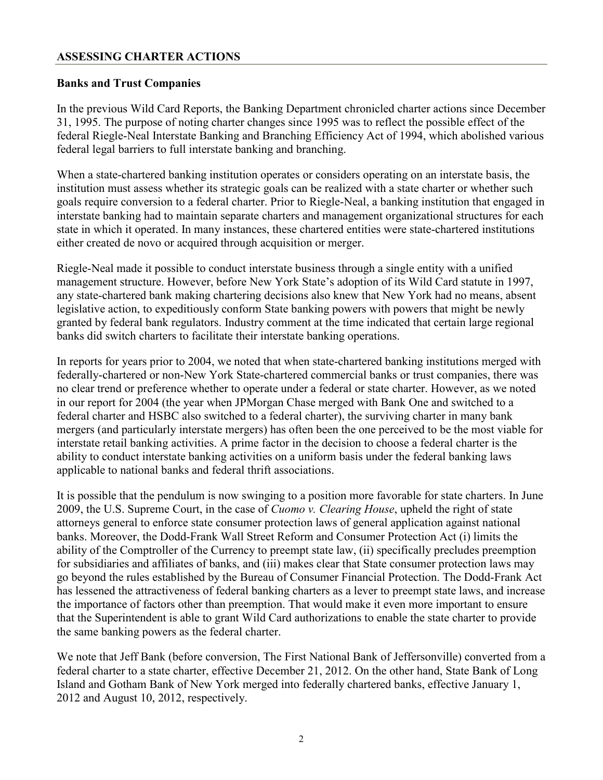#### **ASSESSING CHARTER ACTIONS**

#### **Banks and Trust Companies**

In the previous Wild Card Reports, the Banking Department chronicled charter actions since December 31, 1995. The purpose of noting charter changes since 1995 was to reflect the possible effect of the federal Riegle-Neal Interstate Banking and Branching Efficiency Act of 1994, which abolished various federal legal barriers to full interstate banking and branching.

When a state-chartered banking institution operates or considers operating on an interstate basis, the institution must assess whether its strategic goals can be realized with a state charter or whether such goals require conversion to a federal charter. Prior to Riegle-Neal, a banking institution that engaged in interstate banking had to maintain separate charters and management organizational structures for each state in which it operated. In many instances, these chartered entities were state-chartered institutions either created de novo or acquired through acquisition or merger.

Riegle-Neal made it possible to conduct interstate business through a single entity with a unified management structure. However, before New York State's adoption of its Wild Card statute in 1997, any state-chartered bank making chartering decisions also knew that New York had no means, absent legislative action, to expeditiously conform State banking powers with powers that might be newly granted by federal bank regulators. Industry comment at the time indicated that certain large regional banks did switch charters to facilitate their interstate banking operations.

 In reports for years prior to 2004, we noted that when state-chartered banking institutions merged with no clear trend or preference whether to operate under a federal or state charter. However, as we noted in our report for 2004 (the year when JPMorgan Chase merged with Bank One and switched to a federally-chartered or non-New York State-chartered commercial banks or trust companies, there was federal charter and HSBC also switched to a federal charter), the surviving charter in many bank mergers (and particularly interstate mergers) has often been the one perceived to be the most viable for interstate retail banking activities. A prime factor in the decision to choose a federal charter is the ability to conduct interstate banking activities on a uniform basis under the federal banking laws applicable to national banks and federal thrift associations.

 go beyond the rules established by the Bureau of Consumer Financial Protection. The Dodd-Frank Act It is possible that the pendulum is now swinging to a position more favorable for state charters. In June 2009, the U.S. Supreme Court, in the case of *Cuomo v. Clearing House*, upheld the right of state attorneys general to enforce state consumer protection laws of general application against national banks. Moreover, the Dodd-Frank Wall Street Reform and Consumer Protection Act (i) limits the ability of the Comptroller of the Currency to preempt state law, (ii) specifically precludes preemption for subsidiaries and affiliates of banks, and (iii) makes clear that State consumer protection laws may has lessened the attractiveness of federal banking charters as a lever to preempt state laws, and increase the importance of factors other than preemption. That would make it even more important to ensure that the Superintendent is able to grant Wild Card authorizations to enable the state charter to provide the same banking powers as the federal charter.

 federal charter to a state charter, effective December 21, 2012. On the other hand, State Bank of Long We note that Jeff Bank (before conversion, The First National Bank of Jeffersonville) converted from a Island and Gotham Bank of New York merged into federally chartered banks, effective January 1, 2012 and August 10, 2012, respectively.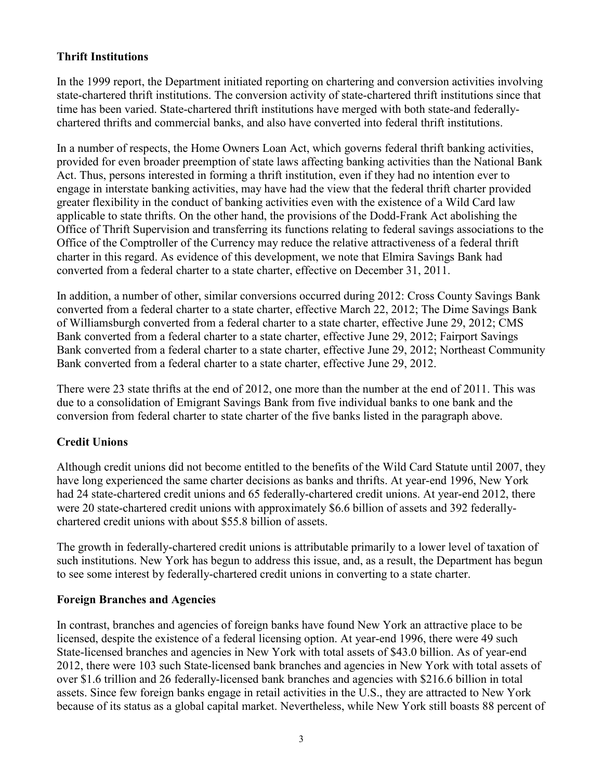#### **Thrift Institutions**

In the 1999 report, the Department initiated reporting on chartering and conversion activities involving state-chartered thrift institutions. The conversion activity of state-chartered thrift institutions since that time has been varied. State-chartered thrift institutions have merged with both state-and federallychartered thrifts and commercial banks, and also have converted into federal thrift institutions.

In a number of respects, the Home Owners Loan Act, which governs federal thrift banking activities, provided for even broader preemption of state laws affecting banking activities than the National Bank Act. Thus, persons interested in forming a thrift institution, even if they had no intention ever to engage in interstate banking activities, may have had the view that the federal thrift charter provided greater flexibility in the conduct of banking activities even with the existence of a Wild Card law applicable to state thrifts. On the other hand, the provisions of the Dodd-Frank Act abolishing the Office of Thrift Supervision and transferring its functions relating to federal savings associations to the Office of the Comptroller of the Currency may reduce the relative attractiveness of a federal thrift charter in this regard. As evidence of this development, we note that Elmira Savings Bank had converted from a federal charter to a state charter, effective on December 31, 2011.

 In addition, a number of other, similar conversions occurred during 2012: Cross County Savings Bank converted from a federal charter to a state charter, effective March 22, 2012; The Dime Savings Bank Bank converted from a federal charter to a state charter, effective June 29, 2012. of Williamsburgh converted from a federal charter to a state charter, effective June 29, 2012; CMS Bank converted from a federal charter to a state charter, effective June 29, 2012; Fairport Savings Bank converted from a federal charter to a state charter, effective June 29, 2012; Northeast Community

Bank converted from a federal charter to a state charter, effective June 29, 2012.<br>There were 23 state thrifts at the end of 2012, one more than the number at the end of 2011. This was due to a consolidation of Emigrant Savings Bank from five individual banks to one bank and the conversion from federal charter to state charter of the five banks listed in the paragraph above.

#### **Credit Unions**

Although credit unions did not become entitled to the benefits of the Wild Card Statute until 2007, they have long experienced the same charter decisions as banks and thrifts. At year-end 1996, New York had 24 state-chartered credit unions and 65 federally-chartered credit unions. At year-end 2012, there were 20 state-chartered credit unions with approximately \$6.6 billion of assets and 392 federallychartered credit unions with about \$55.8 billion of assets.

 The growth in federally-chartered credit unions is attributable primarily to a lower level of taxation of such institutions. New York has begun to address this issue, and, as a result, the Department has begun to see some interest by federally-chartered credit unions in converting to a state charter.

#### **Foreign Branches and Agencies**

 licensed, despite the existence of a federal licensing option. At year-end 1996, there were 49 such assets. Since few foreign banks engage in retail activities in the U.S., they are attracted to New York In contrast, branches and agencies of foreign banks have found New York an attractive place to be State-licensed branches and agencies in New York with total assets of \$43.0 billion. As of year-end 2012, there were 103 such State-licensed bank branches and agencies in New York with total assets of over \$1.6 trillion and 26 federally-licensed bank branches and agencies with \$216.6 billion in total because of its status as a global capital market. Nevertheless, while New York still boasts 88 percent of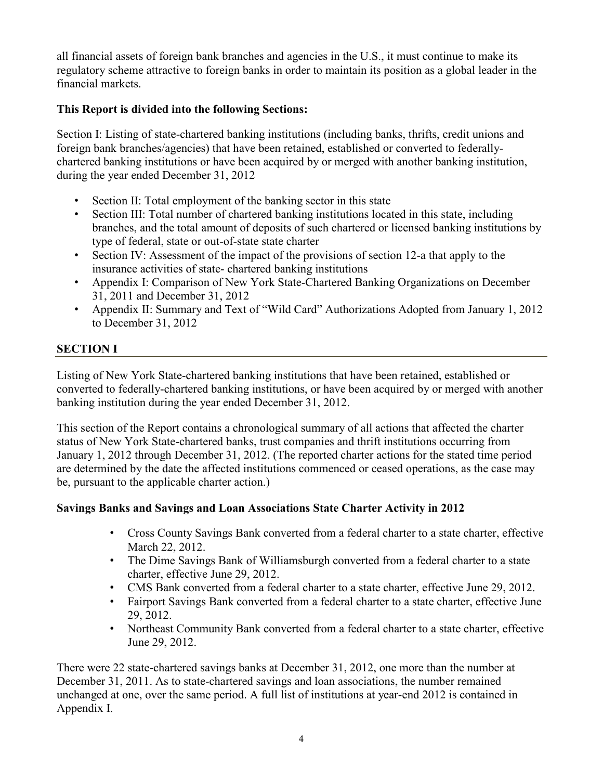all financial assets of foreign bank branches and agencies in the U.S., it must continue to make its regulatory scheme attractive to foreign banks in order to maintain its position as a global leader in the financial markets.

### **This Report is divided into the following Sections:**

 during the year ended December 31, 2012 Section I: Listing of state-chartered banking institutions (including banks, thrifts, credit unions and foreign bank branches/agencies) that have been retained, established or converted to federallychartered banking institutions or have been acquired by or merged with another banking institution,

- Section II: Total employment of the banking sector in this state
- Section III: Total number of chartered banking institutions located in this state, including branches, and the total amount of deposits of such chartered or licensed banking institutions by type of federal, state or out-of-state state charter
- insurance activities of state- chartered banking institutions • Section IV: Assessment of the impact of the provisions of section 12-a that apply to the
- 31, 2011 and December 31, 2012 • Appendix I: Comparison of New York State-Chartered Banking Organizations on December
- Appendix II: Summary and Text of "Wild Card" Authorizations Adopted from January 1, 2012 to December 31, 2012

### **SECTION I**

 banking institution during the year ended December 31, 2012. Listing of New York State-chartered banking institutions that have been retained, established or converted to federally-chartered banking institutions, or have been acquired by or merged with another

 This section of the Report contains a chronological summary of all actions that affected the charter be, pursuant to the applicable charter action.) status of New York State-chartered banks, trust companies and thrift institutions occurring from January 1, 2012 through December 31, 2012. (The reported charter actions for the stated time period are determined by the date the affected institutions commenced or ceased operations, as the case may

### **Savings Banks and Savings and Loan Associations State Charter Activity in 2012**

- Cross County Savings Bank converted from a federal charter to a state charter, effective March 22, 2012.
- The Dime Savings Bank of Williamsburgh converted from a federal charter to a state charter, effective June 29, 2012.
- CMS Bank converted from a federal charter to a state charter, effective June 29, 2012.
- • Fairport Savings Bank converted from a federal charter to a state charter, effective June 29, 2012.
- Northeast Community Bank converted from a federal charter to a state charter, effective June 29, 2012.

 There were 22 state-chartered savings banks at December 31, 2012, one more than the number at unchanged at one, over the same period. A full list of institutions at year-end 2012 is contained in December 31, 2011. As to state-chartered savings and loan associations, the number remained Appendix I.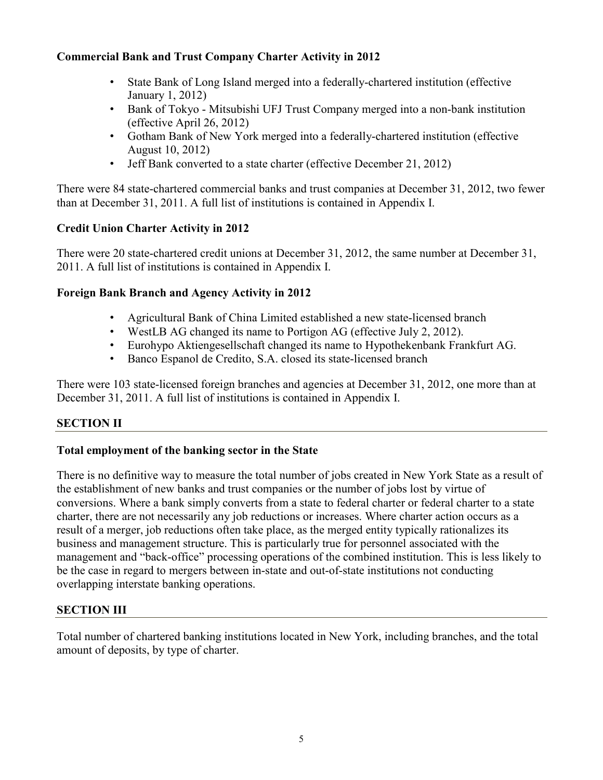#### **Commercial Bank and Trust Company Charter Activity in 2012**

- • State Bank of Long Island merged into a federally-chartered institution (effective January 1, 2012)
- • Bank of Tokyo Mitsubishi UFJ Trust Company merged into a non-bank institution (effective April 26, 2012)
- August 10, 2012) • Gotham Bank of New York merged into a federally-chartered institution (effective
- Jeff Bank converted to a state charter (effective December 21, 2012)

• Jeff Bank converted to a state charter (effective December 21, 2012)<br>There were 84 state-chartered commercial banks and trust companies at December 31, 2012, two fewer than at December 31, 2011. A full list of institutions is contained in Appendix I.

#### **Credit Union Charter Activity in 2012**

 There were 20 state-chartered credit unions at December 31, 2012, the same number at December 31, 2011. A full list of institutions is contained in Appendix I.

#### **Foreign Bank Branch and Agency Activity in 2012**

- Agricultural Bank of China Limited established a new state-licensed branch
- WestLB AG changed its name to Portigon AG (effective July 2, 2012).
- Eurohypo Aktiengesellschaft changed its name to Hypothekenbank Frankfurt AG.
- Banco Espanol de Credito, S.A. closed its state-licensed branch

 • Banco Espanol de Credito, S.A. closed its state-licensed branch There were 103 state-licensed foreign branches and agencies at December 31, 2012, one more than at December 31, 2011. A full list of institutions is contained in Appendix I.

### **SECTION II**

#### **Total employment of the banking sector in the State**

 conversions. Where a bank simply converts from a state to federal charter or federal charter to a state be the case in regard to mergers between in-state and out-of-state institutions not conducting There is no definitive way to measure the total number of jobs created in New York State as a result of the establishment of new banks and trust companies or the number of jobs lost by virtue of charter, there are not necessarily any job reductions or increases. Where charter action occurs as a result of a merger, job reductions often take place, as the merged entity typically rationalizes its business and management structure. This is particularly true for personnel associated with the management and "back-office" processing operations of the combined institution. This is less likely to overlapping interstate banking operations.

#### **SECTION III**

Total number of chartered banking institutions located in New York, including branches, and the total amount of deposits, by type of charter.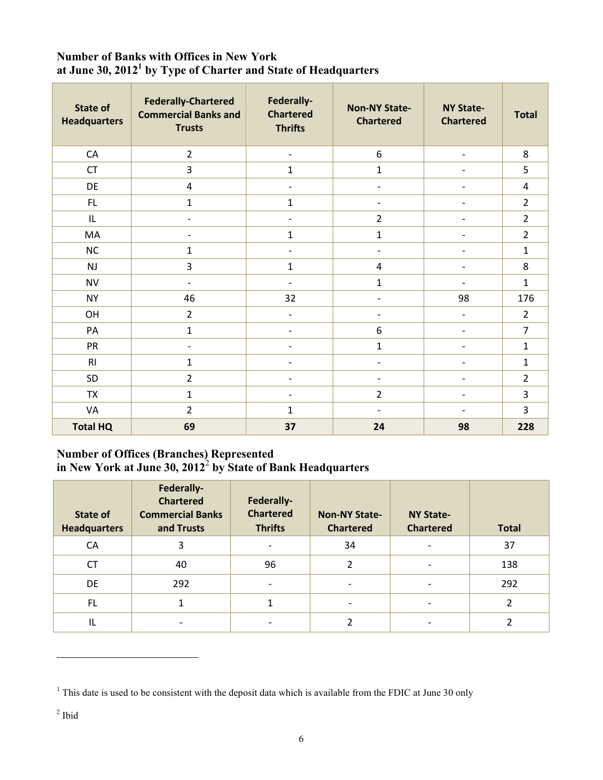# Number of Banks with Offices in New York<br>at June 30, 2012<sup>1</sup> by Type of Charter and State of Headquarters

| <b>State of</b><br><b>Headquarters</b> | <b>Federally-Chartered</b><br><b>Commercial Banks and</b><br><b>Trusts</b> | Federally-<br><b>Chartered</b><br><b>Thrifts</b> | <b>Non-NY State-</b><br><b>Chartered</b> | <b>NY State-</b><br><b>Chartered</b> | <b>Total</b>   |
|----------------------------------------|----------------------------------------------------------------------------|--------------------------------------------------|------------------------------------------|--------------------------------------|----------------|
| ${\sf CA}$                             | $\overline{2}$                                                             | $\overline{\phantom{0}}$                         | $6\,$                                    | $\overline{\phantom{a}}$             | 8              |
| <b>CT</b>                              | 3                                                                          | $\mathbf{1}$                                     | $\mathbf{1}$                             | $\overline{\phantom{0}}$             | 5              |
| DE                                     | $\pmb{4}$                                                                  | $\overline{\phantom{0}}$                         | $\overline{\phantom{a}}$                 |                                      | 4              |
| FL                                     | $\mathbf{1}$                                                               | $\mathbf{1}$                                     | $\overline{\phantom{a}}$                 |                                      | $\overline{2}$ |
| IL                                     | $\overline{a}$                                                             | $\overline{a}$                                   | $\overline{2}$                           |                                      | $\overline{2}$ |
| MA                                     | $\overline{\phantom{a}}$                                                   | $\mathbf{1}$                                     | $\mathbf{1}$                             | $\overline{\phantom{0}}$             | $\overline{2}$ |
| NC                                     | $\mathbf 1$                                                                | $\overline{\phantom{a}}$                         | $\overline{\phantom{a}}$                 | $\qquad \qquad \blacksquare$         | $\mathbf{1}$   |
| <b>NJ</b>                              | 3                                                                          | $\mathbf{1}$                                     | $\overline{4}$                           |                                      | 8              |
| <b>NV</b>                              | $\overline{\phantom{a}}$                                                   | $\overline{\phantom{0}}$                         | $\mathbf{1}$                             | $\overline{\phantom{0}}$             | $\mathbf{1}$   |
| <b>NY</b>                              | 46                                                                         | 32                                               | $\overline{\phantom{a}}$                 | 98                                   | 176            |
| OH                                     | $\overline{2}$                                                             |                                                  | $\overline{\phantom{a}}$                 | $\overline{a}$                       | $\overline{2}$ |
| PA                                     | $\mathbf{1}$                                                               |                                                  | 6                                        | $\overline{\phantom{0}}$             | $\overline{7}$ |
| PR                                     | $\overline{\phantom{a}}$                                                   |                                                  | $\mathbf{1}$                             |                                      | $\mathbf{1}$   |
| R <sub>l</sub>                         | $\mathbf{1}$                                                               | $\qquad \qquad \blacksquare$                     | $\overline{\phantom{a}}$                 | $\overline{\phantom{0}}$             | $\mathbf{1}$   |
| SD                                     | $\overline{2}$                                                             |                                                  | $\overline{\phantom{a}}$                 |                                      | $\overline{2}$ |
| <b>TX</b>                              | $\mathbf{1}$                                                               | $\overline{\phantom{a}}$                         | $\overline{2}$                           | $\qquad \qquad \blacksquare$         | 3              |
| VA                                     | $\overline{2}$                                                             | $\mathbf{1}$                                     | $\overline{\phantom{a}}$                 | $\qquad \qquad -$                    | 3              |
| <b>Total HQ</b>                        | 69                                                                         | 37                                               | 24                                       | 98                                   | 228            |

#### **Number of Offices (Branches) Represented in New York at June 30, 2012**<sup>2</sup>**by State of Bank Headquarters**

| State of<br><b>Headquarters</b> | Federally-<br><b>Chartered</b><br><b>Commercial Banks</b><br>and Trusts | Federally-<br><b>Chartered</b><br><b>Thrifts</b> | <b>Non-NY State-</b><br><b>Chartered</b> | <b>NY State-</b><br><b>Chartered</b> | <b>Total</b> |
|---------------------------------|-------------------------------------------------------------------------|--------------------------------------------------|------------------------------------------|--------------------------------------|--------------|
| <b>CA</b>                       | 3                                                                       |                                                  | 34                                       |                                      | 37           |
| <b>CT</b>                       | 40                                                                      | 96                                               | $\overline{2}$                           | ۰                                    | 138          |
| DE                              | 292                                                                     | $\overline{\phantom{a}}$                         | $\qquad \qquad$                          | $\qquad \qquad \blacksquare$         | 292          |
| FL.                             |                                                                         |                                                  | $\overline{\phantom{0}}$                 | $\overline{\phantom{a}}$             |              |
| IL                              |                                                                         |                                                  | C                                        |                                      | ∍            |

 $\overline{a}$ 

<sup>&</sup>lt;sup>1</sup> This date is used to be consistent with the deposit data which is available from the FDIC at June 30 only

 $<sup>2</sup>$  Ibid</sup>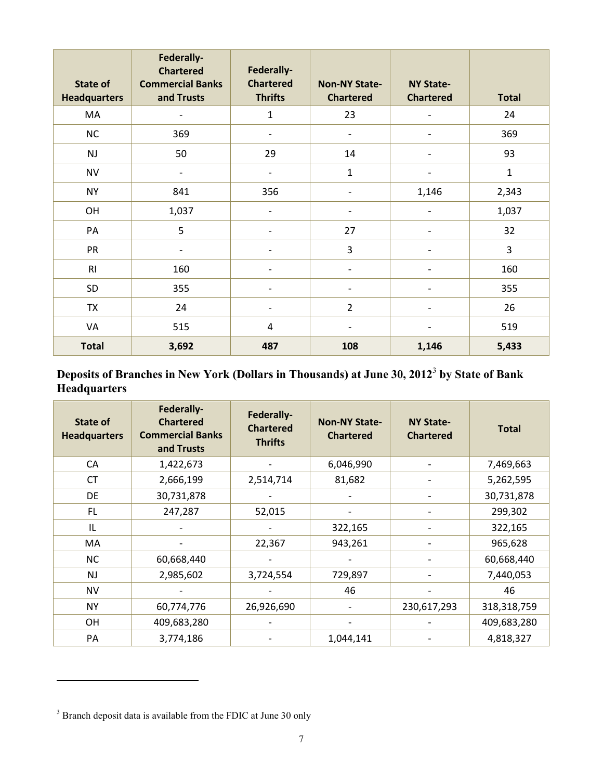| State of<br><b>Headquarters</b> | Federally-<br><b>Chartered</b><br><b>Commercial Banks</b><br>and Trusts | Federally-<br><b>Chartered</b><br><b>Thrifts</b> | <b>Non-NY State-</b><br><b>Chartered</b> | <b>NY State-</b><br><b>Chartered</b> | <b>Total</b>   |
|---------------------------------|-------------------------------------------------------------------------|--------------------------------------------------|------------------------------------------|--------------------------------------|----------------|
| MA                              | $\overline{\phantom{a}}$                                                | $\mathbf{1}$                                     | 23                                       | $\overline{\phantom{0}}$             | 24             |
| NC                              | 369                                                                     | $\overline{\phantom{a}}$                         | $\overline{\phantom{a}}$                 |                                      | 369            |
| <b>NJ</b>                       | 50                                                                      | 29                                               | 14                                       |                                      | 93             |
| <b>NV</b>                       | $\overline{\phantom{a}}$                                                | $\overline{\phantom{a}}$                         | $\mathbf{1}$                             | $\overline{\phantom{0}}$             | $\mathbf{1}$   |
| <b>NY</b>                       | 841                                                                     | 356                                              | $\overline{\phantom{a}}$                 | 1,146                                | 2,343          |
| OH                              | 1,037                                                                   | $\overline{a}$                                   | $\overline{\phantom{a}}$                 |                                      | 1,037          |
| PA                              | 5                                                                       | $\overline{\phantom{a}}$                         | 27                                       | $\overline{\phantom{0}}$             | 32             |
| PR                              |                                                                         |                                                  | 3                                        |                                      | $\overline{3}$ |
| R <sub>l</sub>                  | 160                                                                     | $\overline{a}$                                   | $\overline{\phantom{0}}$                 | ۰                                    | 160            |
| SD                              | 355                                                                     | $\overline{\phantom{a}}$                         | $\overline{\phantom{a}}$                 | $\qquad \qquad -$                    | 355            |
| <b>TX</b>                       | 24                                                                      |                                                  | $\overline{2}$                           |                                      | 26             |
| VA                              | 515                                                                     | $\overline{4}$                                   | $\overline{\phantom{0}}$                 | ۰                                    | 519            |
| <b>Total</b>                    | 3,692                                                                   | 487                                              | 108                                      | 1,146                                | 5,433          |

# **Deposits of Branches in New York (Dollars in Thousands) at June 30, 2012**<sup>3</sup>**by State of Bank Headquarters**

| State of<br><b>Headquarters</b> | Federally-<br><b>Chartered</b><br><b>Commercial Banks</b><br>and Trusts | Federally-<br><b>Chartered</b><br><b>Thrifts</b> | <b>Non-NY State-</b><br><b>Chartered</b> | <b>NY State-</b><br><b>Chartered</b> | <b>Total</b> |
|---------------------------------|-------------------------------------------------------------------------|--------------------------------------------------|------------------------------------------|--------------------------------------|--------------|
| CA                              | 1,422,673                                                               |                                                  | 6,046,990                                |                                      | 7,469,663    |
| <b>CT</b>                       | 2,666,199                                                               | 2,514,714                                        | 81,682                                   |                                      | 5,262,595    |
| DE                              | 30,731,878                                                              |                                                  |                                          |                                      | 30,731,878   |
| FL.                             | 247,287                                                                 | 52,015                                           |                                          |                                      | 299,302      |
| IL                              |                                                                         |                                                  | 322,165                                  |                                      | 322,165      |
| MA                              |                                                                         | 22,367                                           | 943,261                                  |                                      | 965,628      |
| <b>NC</b>                       | 60,668,440                                                              |                                                  |                                          |                                      | 60,668,440   |
| <b>NJ</b>                       | 2,985,602                                                               | 3,724,554                                        | 729,897                                  |                                      | 7,440,053    |
| <b>NV</b>                       |                                                                         |                                                  | 46                                       |                                      | 46           |
| <b>NY</b>                       | 60,774,776                                                              | 26,926,690                                       |                                          | 230,617,293                          | 318,318,759  |
| OH                              | 409,683,280                                                             |                                                  |                                          |                                      | 409,683,280  |
| PA                              | 3,774,186                                                               |                                                  | 1,044,141                                |                                      | 4,818,327    |

 $\overline{a}$ 

<sup>&</sup>lt;sup>3</sup> Branch deposit data is available from the FDIC at June 30 only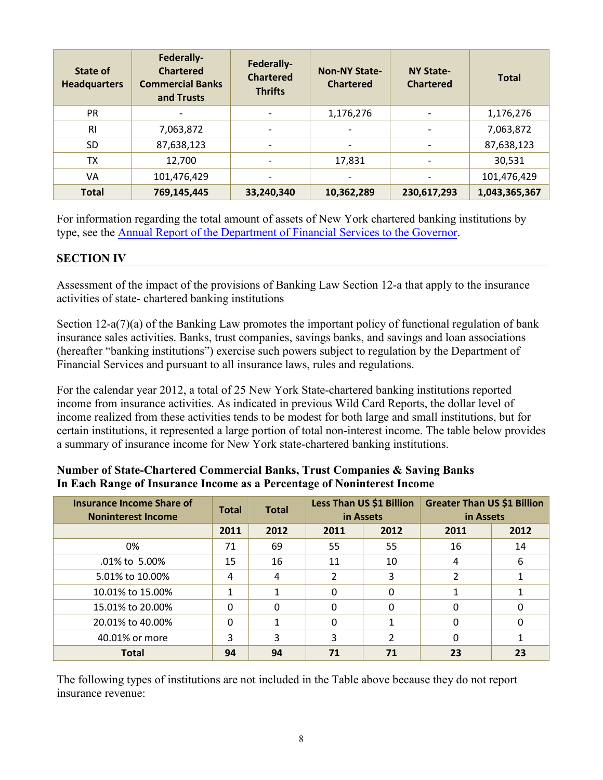| State of<br><b>Headquarters</b> | Federally-<br><b>Chartered</b><br><b>Commercial Banks</b><br>and Trusts | Federally-<br><b>Chartered</b><br><b>Thrifts</b> | <b>Non-NY State-</b><br><b>Chartered</b> | <b>NY State-</b><br><b>Chartered</b> | <b>Total</b>  |
|---------------------------------|-------------------------------------------------------------------------|--------------------------------------------------|------------------------------------------|--------------------------------------|---------------|
| <b>PR</b>                       |                                                                         | $\overline{a}$                                   | 1,176,276                                |                                      | 1,176,276     |
| R <sub>l</sub>                  | 7,063,872                                                               |                                                  |                                          |                                      | 7,063,872     |
| <b>SD</b>                       | 87,638,123                                                              |                                                  |                                          |                                      | 87,638,123    |
| <b>TX</b>                       | 12,700                                                                  | $\qquad \qquad \blacksquare$                     | 17,831                                   | $\overline{a}$                       | 30,531        |
| VA                              | 101,476,429                                                             | $\overline{\phantom{a}}$                         | $\overline{\phantom{a}}$                 | $\overline{\phantom{0}}$             | 101,476,429   |
| <b>Total</b>                    | 769,145,445                                                             | 33,240,340                                       | 10,362,289                               | 230,617,293                          | 1,043,365,367 |

For information regarding the total amount of assets of New York chartered banking institutions by type, see the [Annual Report of the Department of Financial Services to the Governor.](https://www.dfs.ny.gov/reports_and_publications/dfs_annual_reports) 

#### **SECTION IV**

Assessment of the impact of the provisions of Banking Law Section 12-a that apply to the insurance activities of state- chartered banking institutions

Section 12-a(7)(a) of the Banking Law promotes the important policy of functional regulation of bank insurance sales activities. Banks, trust companies, savings banks, and savings and loan associations (hereafter "banking institutions") exercise such powers subject to regulation by the Department of Financial Services and pursuant to all insurance laws, rules and regulations.

For the calendar year 2012, a total of 25 New York State-chartered banking institutions reported income from insurance activities. As indicated in previous Wild Card Reports, the dollar level of income realized from these activities tends to be modest for both large and small institutions, but for certain institutions, it represented a large portion of total non-interest income. The table below provides a summary of insurance income for New York state-chartered banking institutions.

#### **Total**  .01% to 5.00% 15 16 16 11 10 4 6  $\mathbf{1}$  $\mathbf 0$  **Insurance Income Share of Noninterest Income Total Total Less Than US \$1 Billion in Assets Greater Than US \$1 Billion in Assets 2011 2012 2011 2012 2011 2012**  0% 71 69 55 55 16 14 5.01% to 10.00% 4 4 4 2 3 2 1  $10.01\%$  to 15.00% 1 1 1 1 0 0 0 1 1 1 15.01% to 20.00% 0 0 0 0 0 0 20.01% to 40.00% 0 1 0 1 0 0 40.01% or more 3 3 3 2 0 1 **Total 94 94 71 71 23 23**

# **Number of State-Chartered Commercial Banks, Trust Companies & Saving Banks In Each Range of Insurance Income as a Percentage of Noninterest Income**

The following types of institutions are not included in the Table above because they do not report insurance revenue: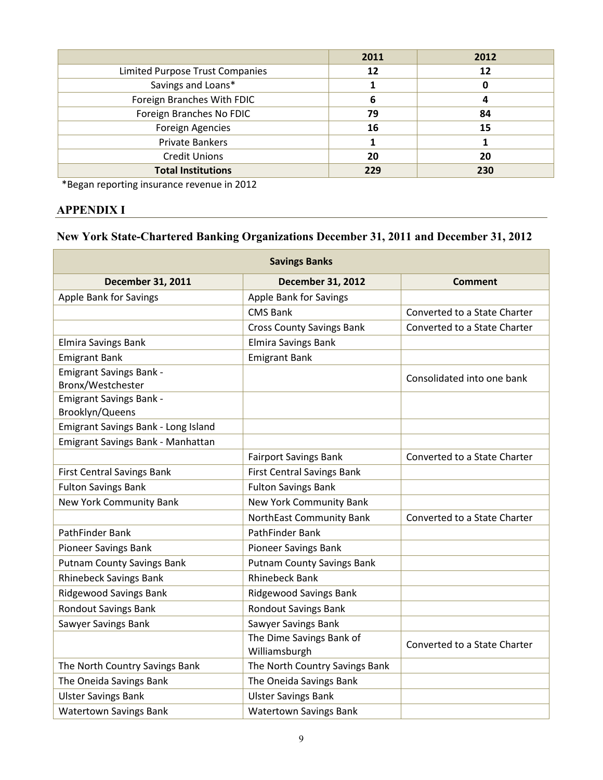|                                 | 2011 | 2012 |
|---------------------------------|------|------|
| Limited Purpose Trust Companies | 12   | 12   |
| Savings and Loans*              |      |      |
| Foreign Branches With FDIC      | 6    | 4    |
| Foreign Branches No FDIC        | 79   | 84   |
| <b>Foreign Agencies</b>         | 16   | 15   |
| <b>Private Bankers</b>          |      |      |
| <b>Credit Unions</b>            | 20   | 20   |
| <b>Total Institutions</b>       | 229  | 230  |

\*Began reporting insurance revenue in 2012

#### **APPENDIX I**

## **New York State-Chartered Banking Organizations December 31, 2011 and December 31, 2012**

| <b>Savings Banks</b>                                |                                           |                              |  |  |  |
|-----------------------------------------------------|-------------------------------------------|------------------------------|--|--|--|
| <b>December 31, 2011</b>                            | <b>December 31, 2012</b>                  | <b>Comment</b>               |  |  |  |
| Apple Bank for Savings                              | Apple Bank for Savings                    |                              |  |  |  |
|                                                     | <b>CMS Bank</b>                           | Converted to a State Charter |  |  |  |
|                                                     | <b>Cross County Savings Bank</b>          | Converted to a State Charter |  |  |  |
| Elmira Savings Bank                                 | Elmira Savings Bank                       |                              |  |  |  |
| <b>Emigrant Bank</b>                                | <b>Emigrant Bank</b>                      |                              |  |  |  |
| <b>Emigrant Savings Bank -</b><br>Bronx/Westchester |                                           | Consolidated into one bank   |  |  |  |
| <b>Emigrant Savings Bank -</b><br>Brooklyn/Queens   |                                           |                              |  |  |  |
| Emigrant Savings Bank - Long Island                 |                                           |                              |  |  |  |
| Emigrant Savings Bank - Manhattan                   |                                           |                              |  |  |  |
|                                                     | <b>Fairport Savings Bank</b>              | Converted to a State Charter |  |  |  |
| <b>First Central Savings Bank</b>                   | <b>First Central Savings Bank</b>         |                              |  |  |  |
| <b>Fulton Savings Bank</b>                          | <b>Fulton Savings Bank</b>                |                              |  |  |  |
| New York Community Bank                             | New York Community Bank                   |                              |  |  |  |
|                                                     | NorthEast Community Bank                  | Converted to a State Charter |  |  |  |
| PathFinder Bank                                     | <b>PathFinder Bank</b>                    |                              |  |  |  |
| Pioneer Savings Bank                                | Pioneer Savings Bank                      |                              |  |  |  |
| <b>Putnam County Savings Bank</b>                   | <b>Putnam County Savings Bank</b>         |                              |  |  |  |
| <b>Rhinebeck Savings Bank</b>                       | <b>Rhinebeck Bank</b>                     |                              |  |  |  |
| <b>Ridgewood Savings Bank</b>                       | <b>Ridgewood Savings Bank</b>             |                              |  |  |  |
| <b>Rondout Savings Bank</b>                         | <b>Rondout Savings Bank</b>               |                              |  |  |  |
| Sawyer Savings Bank                                 | Sawyer Savings Bank                       |                              |  |  |  |
|                                                     | The Dime Savings Bank of<br>Williamsburgh | Converted to a State Charter |  |  |  |
| The North Country Savings Bank                      | The North Country Savings Bank            |                              |  |  |  |
| The Oneida Savings Bank                             | The Oneida Savings Bank                   |                              |  |  |  |
| <b>Ulster Savings Bank</b>                          | <b>Ulster Savings Bank</b>                |                              |  |  |  |
| <b>Watertown Savings Bank</b>                       | <b>Watertown Savings Bank</b>             |                              |  |  |  |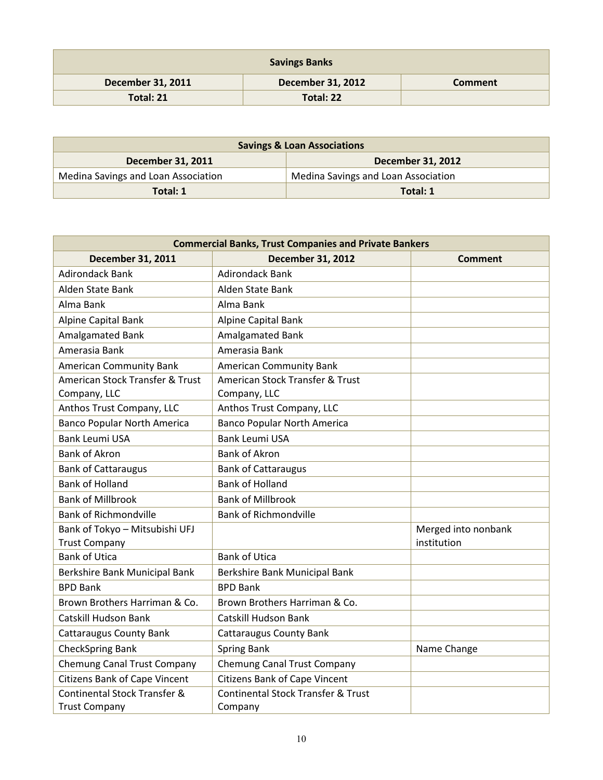| <b>Savings Banks</b>     |                          |                |  |  |  |
|--------------------------|--------------------------|----------------|--|--|--|
| <b>December 31, 2011</b> | <b>December 31, 2012</b> | <b>Comment</b> |  |  |  |
| Total: 21                | Total: 22                |                |  |  |  |

| <b>Savings &amp; Loan Associations</b>        |                                     |  |  |  |
|-----------------------------------------------|-------------------------------------|--|--|--|
| <b>December 31, 2012</b><br>December 31, 2011 |                                     |  |  |  |
| Medina Savings and Loan Association           | Medina Savings and Loan Association |  |  |  |
| Total: 1<br>Total: 1                          |                                     |  |  |  |

| <b>Commercial Banks, Trust Companies and Private Bankers</b> |                                                          |                                    |  |  |
|--------------------------------------------------------------|----------------------------------------------------------|------------------------------------|--|--|
| December 31, 2011                                            | <b>December 31, 2012</b>                                 | Comment                            |  |  |
| <b>Adirondack Bank</b>                                       | <b>Adirondack Bank</b>                                   |                                    |  |  |
| Alden State Bank                                             | Alden State Bank                                         |                                    |  |  |
| Alma Bank                                                    | Alma Bank                                                |                                    |  |  |
| <b>Alpine Capital Bank</b>                                   | Alpine Capital Bank                                      |                                    |  |  |
| Amalgamated Bank                                             | Amalgamated Bank                                         |                                    |  |  |
| Amerasia Bank                                                | Amerasia Bank                                            |                                    |  |  |
| <b>American Community Bank</b>                               | <b>American Community Bank</b>                           |                                    |  |  |
| American Stock Transfer & Trust                              | American Stock Transfer & Trust                          |                                    |  |  |
| Company, LLC                                                 | Company, LLC                                             |                                    |  |  |
| Anthos Trust Company, LLC                                    | Anthos Trust Company, LLC                                |                                    |  |  |
| <b>Banco Popular North America</b>                           | <b>Banco Popular North America</b>                       |                                    |  |  |
| <b>Bank Leumi USA</b>                                        | <b>Bank Leumi USA</b>                                    |                                    |  |  |
| <b>Bank of Akron</b>                                         | <b>Bank of Akron</b>                                     |                                    |  |  |
| <b>Bank of Cattaraugus</b>                                   | <b>Bank of Cattaraugus</b>                               |                                    |  |  |
| <b>Bank of Holland</b>                                       | <b>Bank of Holland</b>                                   |                                    |  |  |
| <b>Bank of Millbrook</b>                                     | <b>Bank of Millbrook</b>                                 |                                    |  |  |
| <b>Bank of Richmondville</b>                                 | <b>Bank of Richmondville</b>                             |                                    |  |  |
| Bank of Tokyo - Mitsubishi UFJ<br><b>Trust Company</b>       |                                                          | Merged into nonbank<br>institution |  |  |
| <b>Bank of Utica</b>                                         | <b>Bank of Utica</b>                                     |                                    |  |  |
| Berkshire Bank Municipal Bank                                | Berkshire Bank Municipal Bank                            |                                    |  |  |
| <b>BPD Bank</b>                                              | <b>BPD Bank</b>                                          |                                    |  |  |
| Brown Brothers Harriman & Co.                                | Brown Brothers Harriman & Co.                            |                                    |  |  |
| <b>Catskill Hudson Bank</b>                                  | <b>Catskill Hudson Bank</b>                              |                                    |  |  |
| Cattaraugus County Bank                                      | <b>Cattaraugus County Bank</b>                           |                                    |  |  |
| <b>CheckSpring Bank</b>                                      | <b>Spring Bank</b>                                       | Name Change                        |  |  |
| Chemung Canal Trust Company                                  | <b>Chemung Canal Trust Company</b>                       |                                    |  |  |
| <b>Citizens Bank of Cape Vincent</b>                         | <b>Citizens Bank of Cape Vincent</b>                     |                                    |  |  |
| Continental Stock Transfer &<br><b>Trust Company</b>         | <b>Continental Stock Transfer &amp; Trust</b><br>Company |                                    |  |  |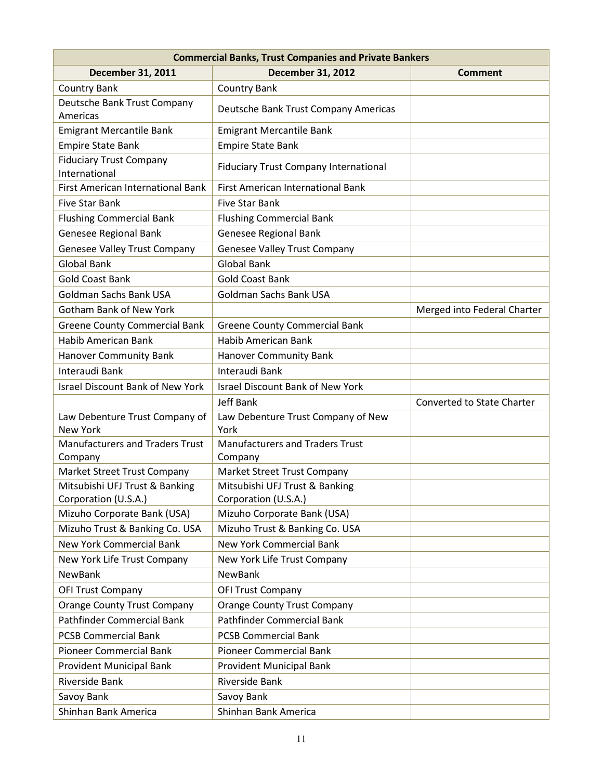| <b>Commercial Banks, Trust Companies and Private Bankers</b> |                                                        |                                   |  |  |  |
|--------------------------------------------------------------|--------------------------------------------------------|-----------------------------------|--|--|--|
| <b>December 31, 2011</b>                                     | <b>December 31, 2012</b>                               | <b>Comment</b>                    |  |  |  |
| <b>Country Bank</b>                                          | <b>Country Bank</b>                                    |                                   |  |  |  |
| Deutsche Bank Trust Company<br>Americas                      | Deutsche Bank Trust Company Americas                   |                                   |  |  |  |
| <b>Emigrant Mercantile Bank</b>                              | <b>Emigrant Mercantile Bank</b>                        |                                   |  |  |  |
| <b>Empire State Bank</b>                                     | <b>Empire State Bank</b>                               |                                   |  |  |  |
| <b>Fiduciary Trust Company</b><br>International              | <b>Fiduciary Trust Company International</b>           |                                   |  |  |  |
| First American International Bank                            | <b>First American International Bank</b>               |                                   |  |  |  |
| <b>Five Star Bank</b>                                        | <b>Five Star Bank</b>                                  |                                   |  |  |  |
| <b>Flushing Commercial Bank</b>                              | <b>Flushing Commercial Bank</b>                        |                                   |  |  |  |
| Genesee Regional Bank                                        | Genesee Regional Bank                                  |                                   |  |  |  |
| <b>Genesee Valley Trust Company</b>                          | <b>Genesee Valley Trust Company</b>                    |                                   |  |  |  |
| <b>Global Bank</b>                                           | <b>Global Bank</b>                                     |                                   |  |  |  |
| <b>Gold Coast Bank</b>                                       | <b>Gold Coast Bank</b>                                 |                                   |  |  |  |
| Goldman Sachs Bank USA                                       | <b>Goldman Sachs Bank USA</b>                          |                                   |  |  |  |
| <b>Gotham Bank of New York</b>                               |                                                        | Merged into Federal Charter       |  |  |  |
| <b>Greene County Commercial Bank</b>                         | <b>Greene County Commercial Bank</b>                   |                                   |  |  |  |
| Habib American Bank                                          | <b>Habib American Bank</b>                             |                                   |  |  |  |
| Hanover Community Bank                                       | <b>Hanover Community Bank</b>                          |                                   |  |  |  |
| Interaudi Bank                                               | Interaudi Bank                                         |                                   |  |  |  |
| <b>Israel Discount Bank of New York</b>                      | <b>Israel Discount Bank of New York</b>                |                                   |  |  |  |
|                                                              | Jeff Bank                                              | <b>Converted to State Charter</b> |  |  |  |
| Law Debenture Trust Company of<br>New York                   | Law Debenture Trust Company of New<br>York             |                                   |  |  |  |
| <b>Manufacturers and Traders Trust</b><br>Company            | <b>Manufacturers and Traders Trust</b><br>Company      |                                   |  |  |  |
| Market Street Trust Company                                  | Market Street Trust Company                            |                                   |  |  |  |
| Mitsubishi UFJ Trust & Banking<br>Corporation (U.S.A.)       | Mitsubishi UFJ Trust & Banking<br>Corporation (U.S.A.) |                                   |  |  |  |
| Mizuho Corporate Bank (USA)                                  | Mizuho Corporate Bank (USA)                            |                                   |  |  |  |
| Mizuho Trust & Banking Co. USA                               | Mizuho Trust & Banking Co. USA                         |                                   |  |  |  |
| <b>New York Commercial Bank</b>                              | <b>New York Commercial Bank</b>                        |                                   |  |  |  |
| New York Life Trust Company                                  | New York Life Trust Company                            |                                   |  |  |  |
| NewBank                                                      | NewBank                                                |                                   |  |  |  |
| <b>OFI Trust Company</b>                                     | <b>OFI Trust Company</b>                               |                                   |  |  |  |
| <b>Orange County Trust Company</b>                           | <b>Orange County Trust Company</b>                     |                                   |  |  |  |
| Pathfinder Commercial Bank                                   | <b>Pathfinder Commercial Bank</b>                      |                                   |  |  |  |
| <b>PCSB Commercial Bank</b>                                  | <b>PCSB Commercial Bank</b>                            |                                   |  |  |  |
| <b>Pioneer Commercial Bank</b>                               | <b>Pioneer Commercial Bank</b>                         |                                   |  |  |  |
| <b>Provident Municipal Bank</b>                              | <b>Provident Municipal Bank</b>                        |                                   |  |  |  |
| Riverside Bank                                               | Riverside Bank                                         |                                   |  |  |  |
| Savoy Bank                                                   | Savoy Bank                                             |                                   |  |  |  |
| Shinhan Bank America                                         | Shinhan Bank America                                   |                                   |  |  |  |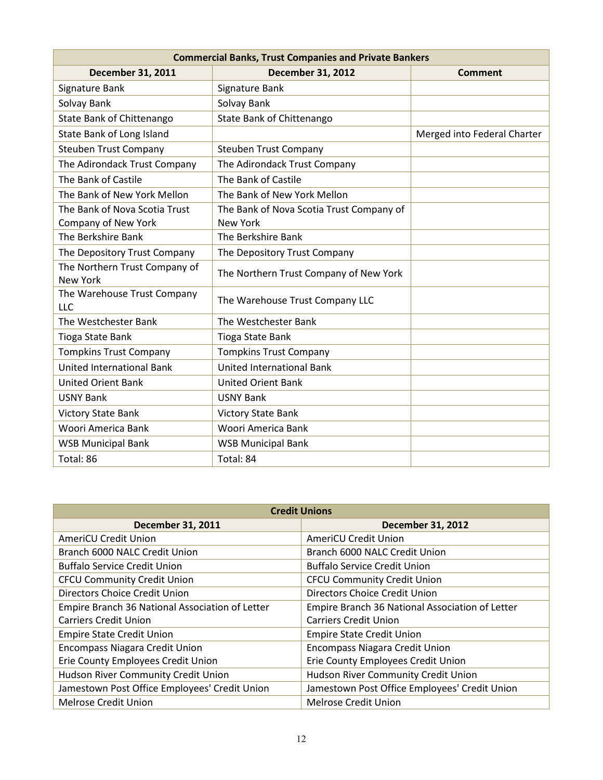| <b>Commercial Banks, Trust Companies and Private Bankers</b> |                                          |                             |  |  |
|--------------------------------------------------------------|------------------------------------------|-----------------------------|--|--|
| <b>December 31, 2011</b>                                     | <b>December 31, 2012</b>                 | <b>Comment</b>              |  |  |
| Signature Bank                                               | Signature Bank                           |                             |  |  |
| Solvay Bank                                                  | Solvay Bank                              |                             |  |  |
| State Bank of Chittenango                                    | State Bank of Chittenango                |                             |  |  |
| State Bank of Long Island                                    |                                          | Merged into Federal Charter |  |  |
| <b>Steuben Trust Company</b>                                 | <b>Steuben Trust Company</b>             |                             |  |  |
| The Adirondack Trust Company                                 | The Adirondack Trust Company             |                             |  |  |
| The Bank of Castile                                          | The Bank of Castile                      |                             |  |  |
| The Bank of New York Mellon                                  | The Bank of New York Mellon              |                             |  |  |
| The Bank of Nova Scotia Trust                                | The Bank of Nova Scotia Trust Company of |                             |  |  |
| Company of New York                                          | <b>New York</b>                          |                             |  |  |
| The Berkshire Bank                                           | The Berkshire Bank                       |                             |  |  |
| The Depository Trust Company                                 | The Depository Trust Company             |                             |  |  |
| The Northern Trust Company of<br><b>New York</b>             | The Northern Trust Company of New York   |                             |  |  |
| The Warehouse Trust Company<br>LLC                           | The Warehouse Trust Company LLC          |                             |  |  |
| The Westchester Bank                                         | The Westchester Bank                     |                             |  |  |
| Tioga State Bank                                             | Tioga State Bank                         |                             |  |  |
| <b>Tompkins Trust Company</b>                                | <b>Tompkins Trust Company</b>            |                             |  |  |
| <b>United International Bank</b>                             | <b>United International Bank</b>         |                             |  |  |
| <b>United Orient Bank</b>                                    | <b>United Orient Bank</b>                |                             |  |  |
| <b>USNY Bank</b>                                             | <b>USNY Bank</b>                         |                             |  |  |
| <b>Victory State Bank</b>                                    | <b>Victory State Bank</b>                |                             |  |  |
| Woori America Bank                                           | Woori America Bank                       |                             |  |  |
| <b>WSB Municipal Bank</b>                                    | <b>WSB Municipal Bank</b>                |                             |  |  |
| Total: 86                                                    | Total: 84                                |                             |  |  |

| <b>Credit Unions</b>                            |                                                 |  |
|-------------------------------------------------|-------------------------------------------------|--|
| December 31, 2011                               | <b>December 31, 2012</b>                        |  |
| AmeriCU Credit Union                            | AmeriCU Credit Union                            |  |
| Branch 6000 NALC Credit Union                   | Branch 6000 NALC Credit Union                   |  |
| <b>Buffalo Service Credit Union</b>             | <b>Buffalo Service Credit Union</b>             |  |
| <b>CFCU Community Credit Union</b>              | <b>CFCU Community Credit Union</b>              |  |
| <b>Directors Choice Credit Union</b>            | Directors Choice Credit Union                   |  |
| Empire Branch 36 National Association of Letter | Empire Branch 36 National Association of Letter |  |
| <b>Carriers Credit Union</b>                    | <b>Carriers Credit Union</b>                    |  |
| <b>Empire State Credit Union</b>                | <b>Empire State Credit Union</b>                |  |
| <b>Encompass Niagara Credit Union</b>           | <b>Encompass Niagara Credit Union</b>           |  |
| Erie County Employees Credit Union              | Erie County Employees Credit Union              |  |
| Hudson River Community Credit Union             | Hudson River Community Credit Union             |  |
| Jamestown Post Office Employees' Credit Union   | Jamestown Post Office Employees' Credit Union   |  |
| Melrose Credit Union                            | <b>Melrose Credit Union</b>                     |  |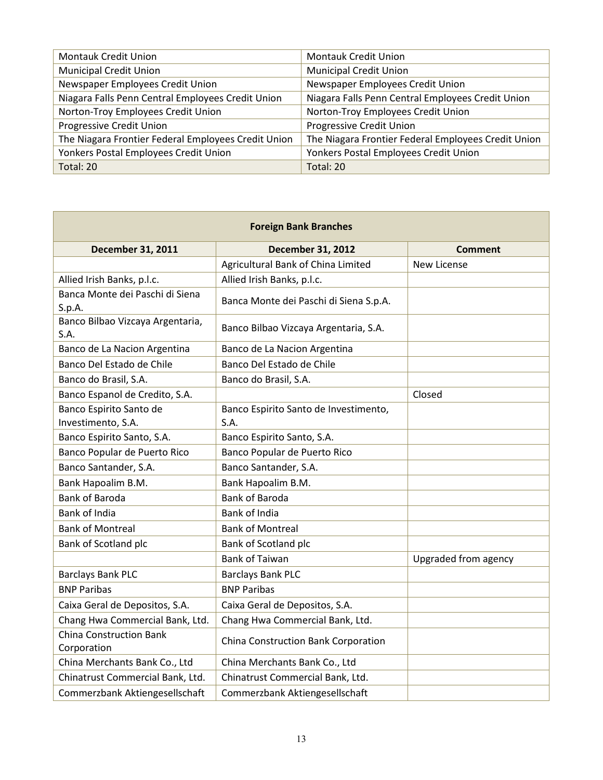| <b>Montauk Credit Union</b>                         | <b>Montauk Credit Union</b>                         |
|-----------------------------------------------------|-----------------------------------------------------|
| <b>Municipal Credit Union</b>                       | <b>Municipal Credit Union</b>                       |
| Newspaper Employees Credit Union                    | Newspaper Employees Credit Union                    |
| Niagara Falls Penn Central Employees Credit Union   | Niagara Falls Penn Central Employees Credit Union   |
| Norton-Troy Employees Credit Union                  | Norton-Troy Employees Credit Union                  |
| Progressive Credit Union                            | Progressive Credit Union                            |
| The Niagara Frontier Federal Employees Credit Union | The Niagara Frontier Federal Employees Credit Union |
| Yonkers Postal Employees Credit Union               | Yonkers Postal Employees Credit Union               |
| Total: 20                                           | Total: 20                                           |

| <b>Foreign Bank Branches</b>                  |                                               |                      |
|-----------------------------------------------|-----------------------------------------------|----------------------|
| <b>December 31, 2011</b>                      | <b>December 31, 2012</b>                      | <b>Comment</b>       |
|                                               | Agricultural Bank of China Limited            | <b>New License</b>   |
| Allied Irish Banks, p.l.c.                    | Allied Irish Banks, p.l.c.                    |                      |
| Banca Monte dei Paschi di Siena<br>S.p.A.     | Banca Monte dei Paschi di Siena S.p.A.        |                      |
| Banco Bilbao Vizcaya Argentaria,<br>S.A.      | Banco Bilbao Vizcaya Argentaria, S.A.         |                      |
| Banco de La Nacion Argentina                  | Banco de La Nacion Argentina                  |                      |
| Banco Del Estado de Chile                     | Banco Del Estado de Chile                     |                      |
| Banco do Brasil, S.A.                         | Banco do Brasil, S.A.                         |                      |
| Banco Espanol de Credito, S.A.                |                                               | Closed               |
| Banco Espirito Santo de<br>Investimento, S.A. | Banco Espirito Santo de Investimento,<br>S.A. |                      |
| Banco Espirito Santo, S.A.                    | Banco Espirito Santo, S.A.                    |                      |
| Banco Popular de Puerto Rico                  | Banco Popular de Puerto Rico                  |                      |
| Banco Santander, S.A.                         | Banco Santander, S.A.                         |                      |
| Bank Hapoalim B.M.                            | Bank Hapoalim B.M.                            |                      |
| <b>Bank of Baroda</b>                         | <b>Bank of Baroda</b>                         |                      |
| Bank of India                                 | Bank of India                                 |                      |
| <b>Bank of Montreal</b>                       | <b>Bank of Montreal</b>                       |                      |
| Bank of Scotland plc                          | Bank of Scotland plc                          |                      |
|                                               | <b>Bank of Taiwan</b>                         | Upgraded from agency |
| <b>Barclays Bank PLC</b>                      | <b>Barclays Bank PLC</b>                      |                      |
| <b>BNP Paribas</b>                            | <b>BNP Paribas</b>                            |                      |
| Caixa Geral de Depositos, S.A.                | Caixa Geral de Depositos, S.A.                |                      |
| Chang Hwa Commercial Bank, Ltd.               | Chang Hwa Commercial Bank, Ltd.               |                      |
| <b>China Construction Bank</b><br>Corporation | China Construction Bank Corporation           |                      |
| China Merchants Bank Co., Ltd                 | China Merchants Bank Co., Ltd                 |                      |
| Chinatrust Commercial Bank, Ltd.              | Chinatrust Commercial Bank, Ltd.              |                      |
| Commerzbank Aktiengesellschaft                | Commerzbank Aktiengesellschaft                |                      |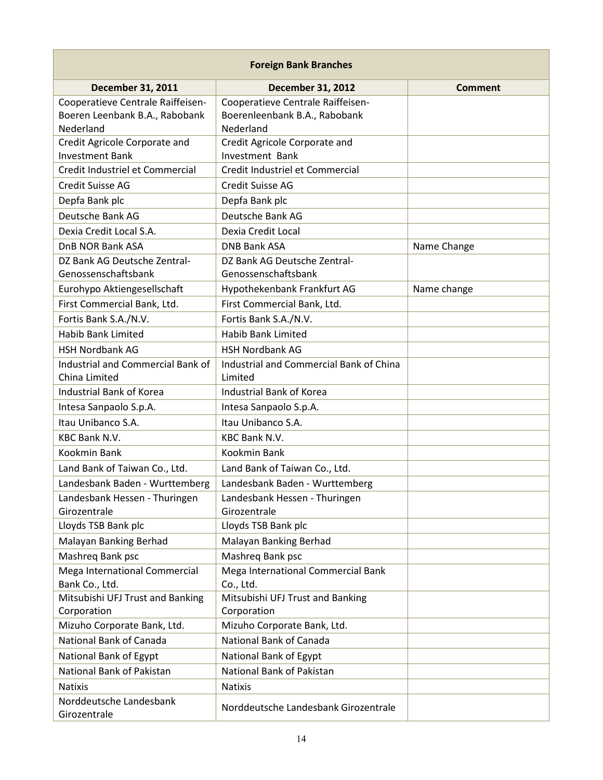| <b>Foreign Bank Branches</b>            |                                         |                |
|-----------------------------------------|-----------------------------------------|----------------|
| <b>December 31, 2011</b>                | <b>December 31, 2012</b>                | <b>Comment</b> |
| Cooperatieve Centrale Raiffeisen-       | Cooperatieve Centrale Raiffeisen-       |                |
| Boeren Leenbank B.A., Rabobank          | Boerenleenbank B.A., Rabobank           |                |
| Nederland                               | Nederland                               |                |
| Credit Agricole Corporate and           | Credit Agricole Corporate and           |                |
| <b>Investment Bank</b>                  | <b>Investment Bank</b>                  |                |
| Credit Industriel et Commercial         | Credit Industriel et Commercial         |                |
| Credit Suisse AG                        | Credit Suisse AG                        |                |
| Depfa Bank plc                          | Depfa Bank plc                          |                |
| Deutsche Bank AG                        | Deutsche Bank AG                        |                |
| Dexia Credit Local S.A.                 | Dexia Credit Local                      |                |
| DnB NOR Bank ASA                        | <b>DNB Bank ASA</b>                     | Name Change    |
| DZ Bank AG Deutsche Zentral-            | DZ Bank AG Deutsche Zentral-            |                |
| Genossenschaftsbank                     | Genossenschaftsbank                     |                |
| Eurohypo Aktiengesellschaft             | Hypothekenbank Frankfurt AG             | Name change    |
| First Commercial Bank, Ltd.             | First Commercial Bank, Ltd.             |                |
| Fortis Bank S.A./N.V.                   | Fortis Bank S.A./N.V.                   |                |
| <b>Habib Bank Limited</b>               | <b>Habib Bank Limited</b>               |                |
| <b>HSH Nordbank AG</b>                  | <b>HSH Nordbank AG</b>                  |                |
| Industrial and Commercial Bank of       | Industrial and Commercial Bank of China |                |
| China Limited                           | Limited                                 |                |
| Industrial Bank of Korea                | Industrial Bank of Korea                |                |
| Intesa Sanpaolo S.p.A.                  | Intesa Sanpaolo S.p.A.                  |                |
| Itau Unibanco S.A.                      | Itau Unibanco S.A.                      |                |
| KBC Bank N.V.                           | <b>KBC Bank N.V.</b>                    |                |
| Kookmin Bank                            | Kookmin Bank                            |                |
| Land Bank of Taiwan Co., Ltd.           | Land Bank of Taiwan Co., Ltd.           |                |
| Landesbank Baden - Wurttemberg          | Landesbank Baden - Wurttemberg          |                |
| Landesbank Hessen - Thuringen           | Landesbank Hessen - Thuringen           |                |
| Girozentrale                            | Girozentrale                            |                |
| Lloyds TSB Bank plc                     | Lloyds TSB Bank plc                     |                |
| Malayan Banking Berhad                  | Malayan Banking Berhad                  |                |
| Mashreq Bank psc                        | Mashreg Bank psc                        |                |
| Mega International Commercial           | Mega International Commercial Bank      |                |
| Bank Co., Ltd.                          | Co., Ltd.                               |                |
| Mitsubishi UFJ Trust and Banking        | Mitsubishi UFJ Trust and Banking        |                |
| Corporation                             | Corporation                             |                |
| Mizuho Corporate Bank, Ltd.             | Mizuho Corporate Bank, Ltd.             |                |
| National Bank of Canada                 | National Bank of Canada                 |                |
| National Bank of Egypt                  | National Bank of Egypt                  |                |
| National Bank of Pakistan               | National Bank of Pakistan               |                |
| <b>Natixis</b>                          | <b>Natixis</b>                          |                |
| Norddeutsche Landesbank<br>Girozentrale | Norddeutsche Landesbank Girozentrale    |                |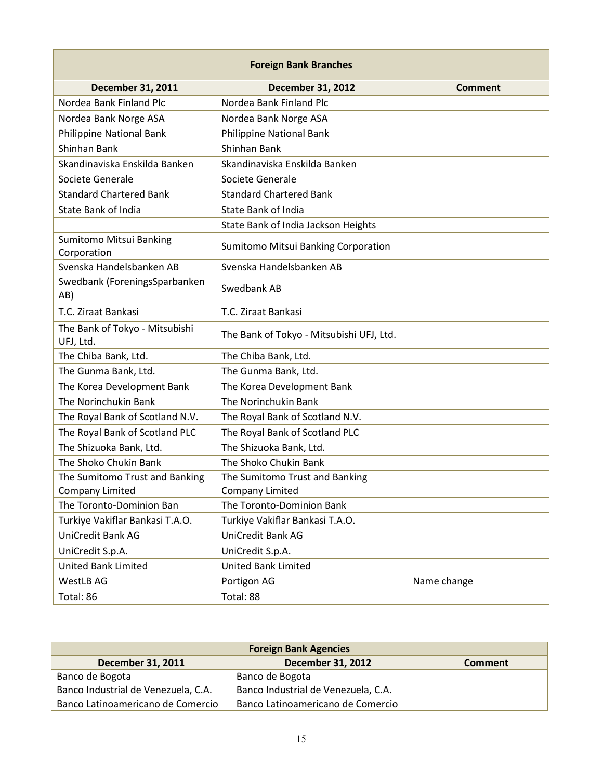| <b>Foreign Bank Branches</b>                |                                          |                |
|---------------------------------------------|------------------------------------------|----------------|
| <b>December 31, 2011</b>                    | <b>December 31, 2012</b>                 | <b>Comment</b> |
| Nordea Bank Finland Plc                     | Nordea Bank Finland Plc                  |                |
| Nordea Bank Norge ASA                       | Nordea Bank Norge ASA                    |                |
| Philippine National Bank                    | Philippine National Bank                 |                |
| <b>Shinhan Bank</b>                         | Shinhan Bank                             |                |
| Skandinaviska Enskilda Banken               | Skandinaviska Enskilda Banken            |                |
| Societe Generale                            | Societe Generale                         |                |
| <b>Standard Chartered Bank</b>              | <b>Standard Chartered Bank</b>           |                |
| State Bank of India                         | <b>State Bank of India</b>               |                |
|                                             | State Bank of India Jackson Heights      |                |
| Sumitomo Mitsui Banking<br>Corporation      | Sumitomo Mitsui Banking Corporation      |                |
| Svenska Handelsbanken AB                    | Svenska Handelsbanken AB                 |                |
| Swedbank (ForeningsSparbanken<br>AB)        | Swedbank AB                              |                |
| T.C. Ziraat Bankasi                         | T.C. Ziraat Bankasi                      |                |
| The Bank of Tokyo - Mitsubishi<br>UFJ, Ltd. | The Bank of Tokyo - Mitsubishi UFJ, Ltd. |                |
| The Chiba Bank, Ltd.                        | The Chiba Bank, Ltd.                     |                |
| The Gunma Bank, Ltd.                        | The Gunma Bank, Ltd.                     |                |
| The Korea Development Bank                  | The Korea Development Bank               |                |
| The Norinchukin Bank                        | The Norinchukin Bank                     |                |
| The Royal Bank of Scotland N.V.             | The Royal Bank of Scotland N.V.          |                |
| The Royal Bank of Scotland PLC              | The Royal Bank of Scotland PLC           |                |
| The Shizuoka Bank, Ltd.                     | The Shizuoka Bank, Ltd.                  |                |
| The Shoko Chukin Bank                       | The Shoko Chukin Bank                    |                |
| The Sumitomo Trust and Banking              | The Sumitomo Trust and Banking           |                |
| Company Limited                             | Company Limited                          |                |
| The Toronto-Dominion Ban                    | The Toronto-Dominion Bank                |                |
| Turkiye Vakiflar Bankasi T.A.O.             | Turkiye Vakiflar Bankasi T.A.O.          |                |
| UniCredit Bank AG                           | <b>UniCredit Bank AG</b>                 |                |
| UniCredit S.p.A.                            | UniCredit S.p.A.                         |                |
| <b>United Bank Limited</b>                  | <b>United Bank Limited</b>               |                |
| <b>WestLB AG</b>                            | Portigon AG                              | Name change    |
| Total: 86                                   | Total: 88                                |                |

| <b>Foreign Bank Agencies</b>        |                                     |         |
|-------------------------------------|-------------------------------------|---------|
| December 31, 2011                   | <b>December 31, 2012</b>            | Comment |
| Banco de Bogota                     | Banco de Bogota                     |         |
| Banco Industrial de Venezuela, C.A. | Banco Industrial de Venezuela, C.A. |         |
| Banco Latinoamericano de Comercio   | Banco Latinoamericano de Comercio   |         |